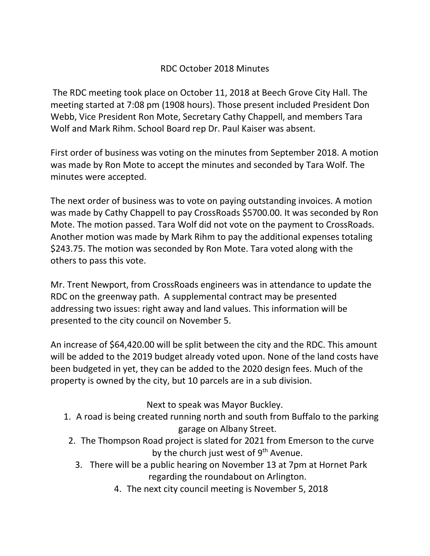## RDC October 2018 Minutes

The RDC meeting took place on October 11, 2018 at Beech Grove City Hall. The meeting started at 7:08 pm (1908 hours). Those present included President Don Webb, Vice President Ron Mote, Secretary Cathy Chappell, and members Tara Wolf and Mark Rihm. School Board rep Dr. Paul Kaiser was absent.

First order of business was voting on the minutes from September 2018. A motion was made by Ron Mote to accept the minutes and seconded by Tara Wolf. The minutes were accepted.

The next order of business was to vote on paying outstanding invoices. A motion was made by Cathy Chappell to pay CrossRoads \$5700.00. It was seconded by Ron Mote. The motion passed. Tara Wolf did not vote on the payment to CrossRoads. Another motion was made by Mark Rihm to pay the additional expenses totaling \$243.75. The motion was seconded by Ron Mote. Tara voted along with the others to pass this vote.

Mr. Trent Newport, from CrossRoads engineers was in attendance to update the RDC on the greenway path. A supplemental contract may be presented addressing two issues: right away and land values. This information will be presented to the city council on November 5.

An increase of \$64,420.00 will be split between the city and the RDC. This amount will be added to the 2019 budget already voted upon. None of the land costs have been budgeted in yet, they can be added to the 2020 design fees. Much of the property is owned by the city, but 10 parcels are in a sub division.

Next to speak was Mayor Buckley.

- 1. A road is being created running north and south from Buffalo to the parking garage on Albany Street.
	- 2. The Thompson Road project is slated for 2021 from Emerson to the curve by the church just west of 9<sup>th</sup> Avenue.
		- 3. There will be a public hearing on November 13 at 7pm at Hornet Park regarding the roundabout on Arlington.
			- 4. The next city council meeting is November 5, 2018